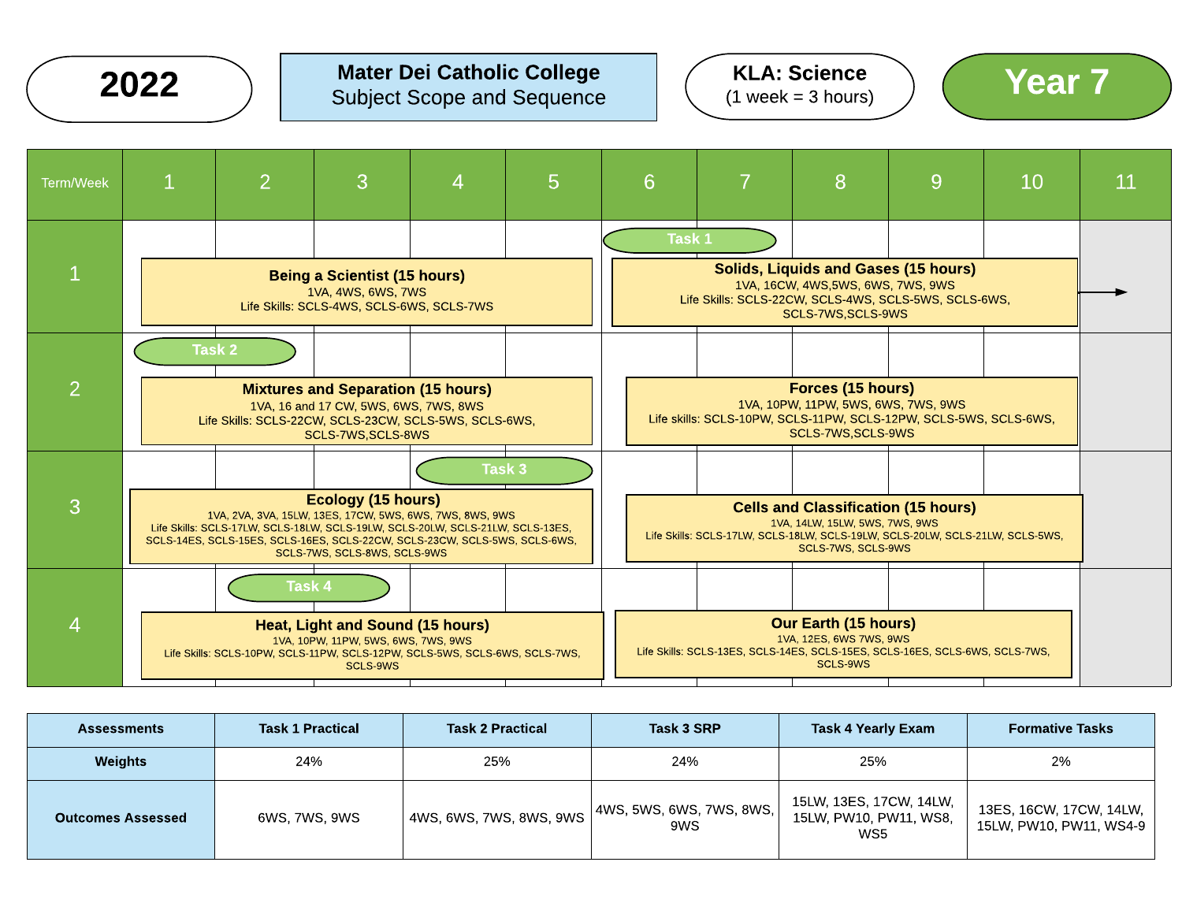

### Mater Dei Catholic College  $2022$  ) Mater Dei Catholic College  $(1 \text{ week} = 3 \text{ hours})$  (Year  $7$







| <b>Assessments</b>       | <b>Task 1 Practical</b> | <b>Task 2 Practical</b> | Task 3 SRP                        | Task 4 Yearly Exam                                       | <b>Formative Tasks</b>                             |
|--------------------------|-------------------------|-------------------------|-----------------------------------|----------------------------------------------------------|----------------------------------------------------|
| Weights                  | 24%<br>25%<br>24%       |                         | 25%                               | 2%                                                       |                                                    |
| <b>Outcomes Assessed</b> | 6WS, 7WS, 9WS           | 4WS, 6WS, 7WS, 8WS, 9WS | 4WS, 5WS, 6WS, 7WS, 8WS,  <br>9WS | 15LW, 13ES, 17CW, 14LW,<br>15LW, PW10, PW11, WS8,<br>WS5 | 13ES, 16CW, 17CW, 14LW,<br>15LW, PW10, PW11, WS4-9 |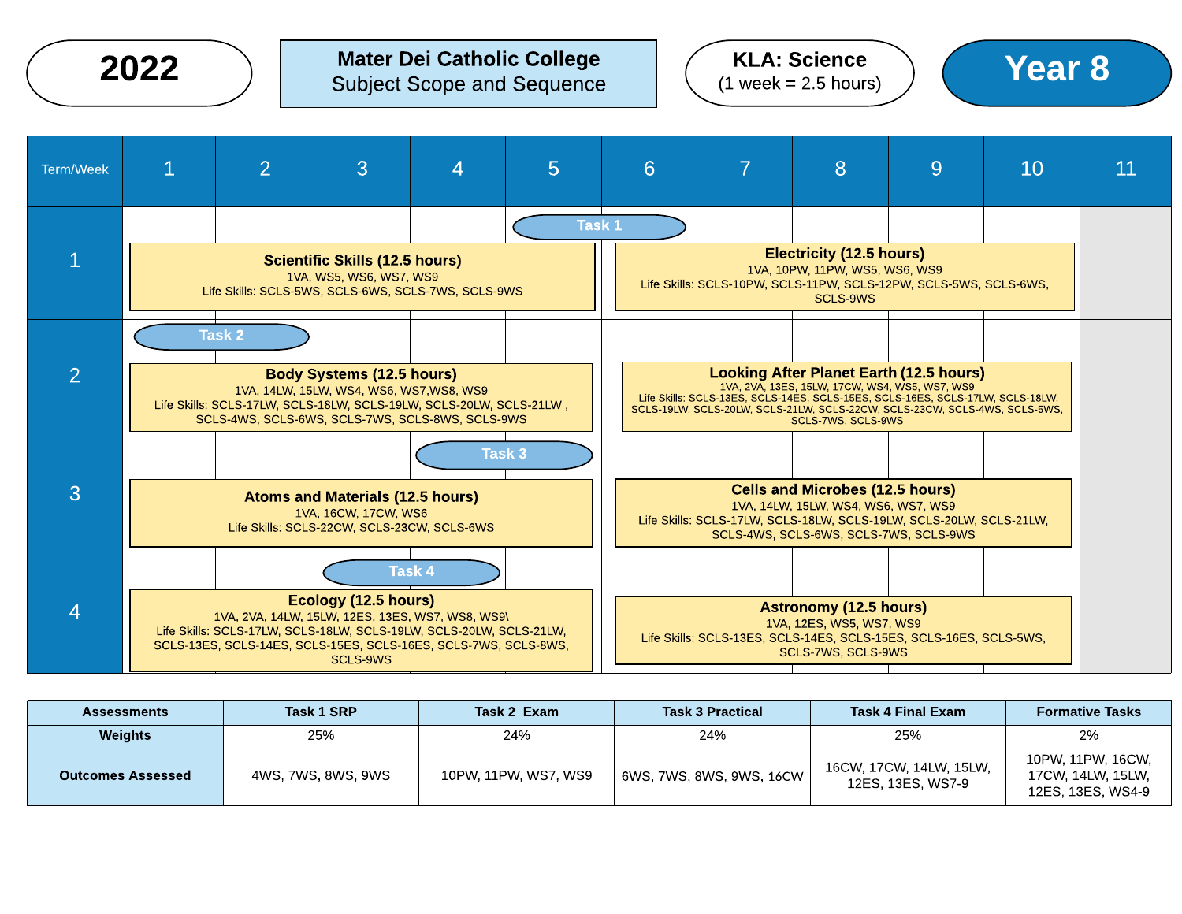### Mater Dei Catholic College  $2022$  ) Mater Dei Catholic College  $(1 \text{ week} = 2.5 \text{ hours})$  (Year  $8$





| <b>Assessments</b>       | Task 1 SRP         | Task 2 Exam          | <b>Task 3 Practical</b>  | <b>Task 4 Final Exam</b>                     | <b>Formative Tasks</b>                                      |
|--------------------------|--------------------|----------------------|--------------------------|----------------------------------------------|-------------------------------------------------------------|
| <b>Weights</b>           | 25%                | 24%                  | 24%                      | 25%                                          | 2%                                                          |
| <b>Outcomes Assessed</b> | 4WS, 7WS, 8WS, 9WS | 10PW, 11PW, WS7, WS9 | 6WS, 7WS, 8WS, 9WS, 16CW | 16CW, 17CW, 14LW, 15LW,<br>12ES, 13ES, WS7-9 | 10PW, 11PW, 16CW,<br>17CW, 14LW, 15LW,<br>12ES, 13ES, WS4-9 |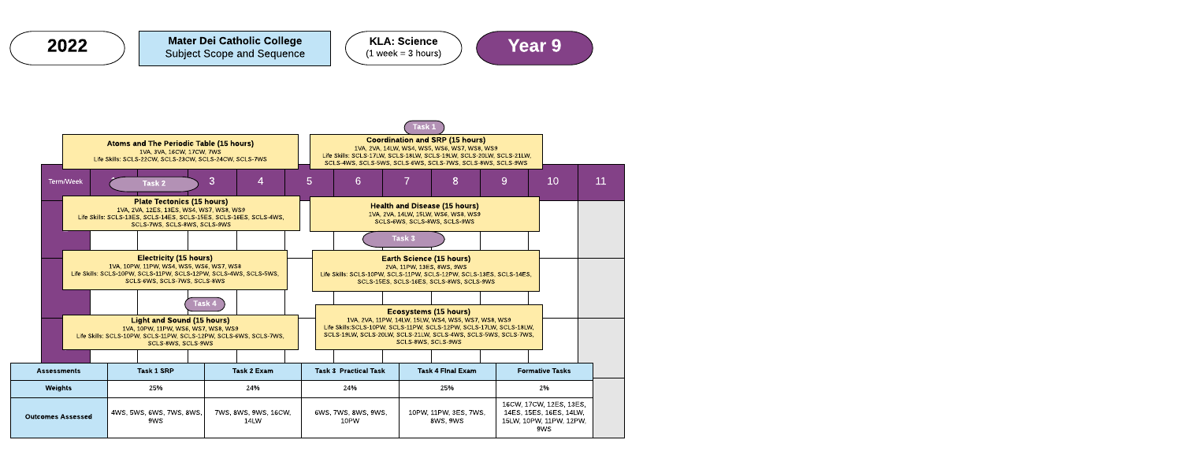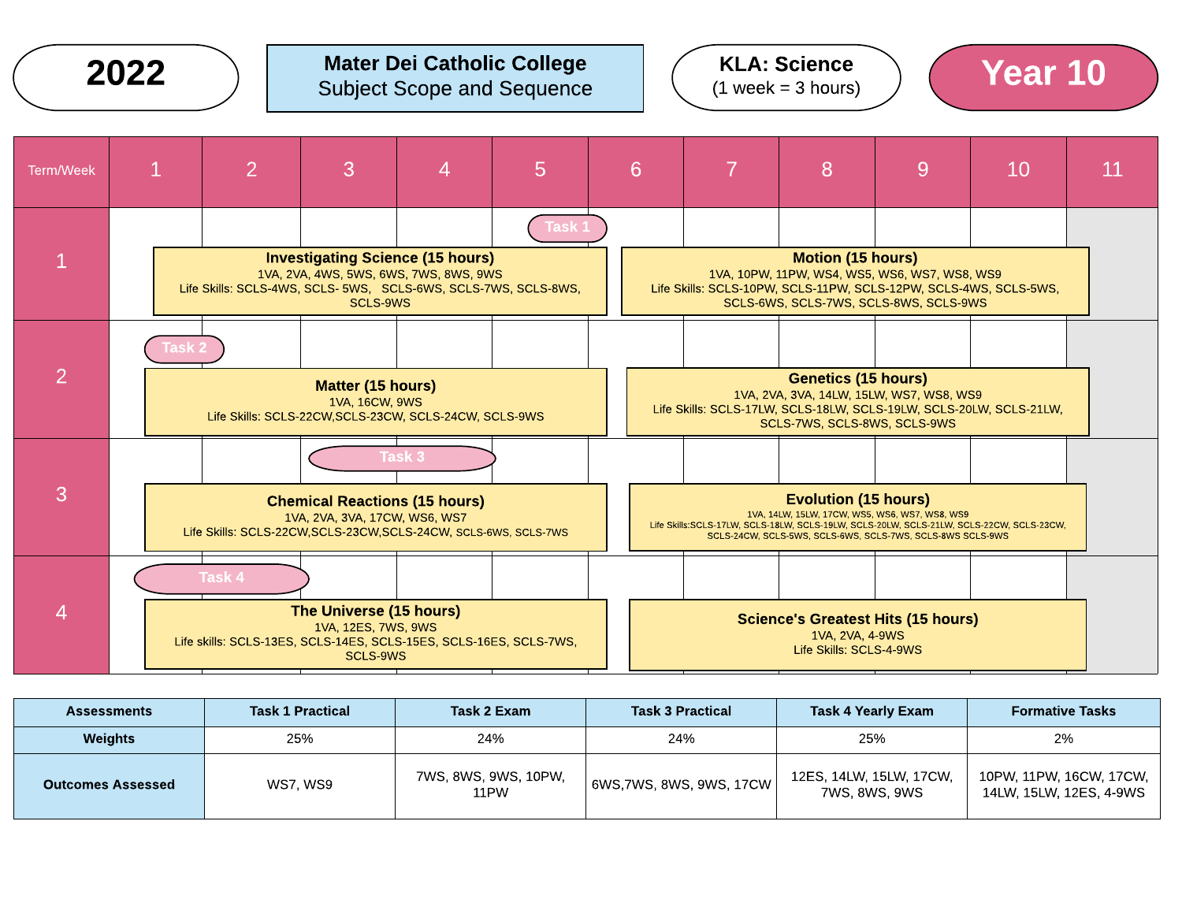### $2022$  ) Mater Dei Catholic College  $(1 \text{ week} = 3 \text{ hours})$  (Year 10) Subject Scope and Sequence





| <b>Assessments</b>           | <b>Task 1 Practical</b> | Task 2 Exam                  | <b>Task 3 Practical</b> | <b>Task 4 Yearly Exam</b>                | <b>Formative Tasks</b>                             |
|------------------------------|-------------------------|------------------------------|-------------------------|------------------------------------------|----------------------------------------------------|
| 25%<br>24%<br><b>Weights</b> |                         | 25%<br>24%                   |                         | 2%                                       |                                                    |
| <b>Outcomes Assessed</b>     | <b>WS7. WS9</b>         | 7WS, 8WS, 9WS, 10PW,<br>11PW | 6WS,7WS, 8WS, 9WS, 17CW | 12ES, 14LW, 15LW, 17CW,<br>7WS, 8WS, 9WS | 10PW, 11PW, 16CW, 17CW,<br>14LW, 15LW, 12ES, 4-9WS |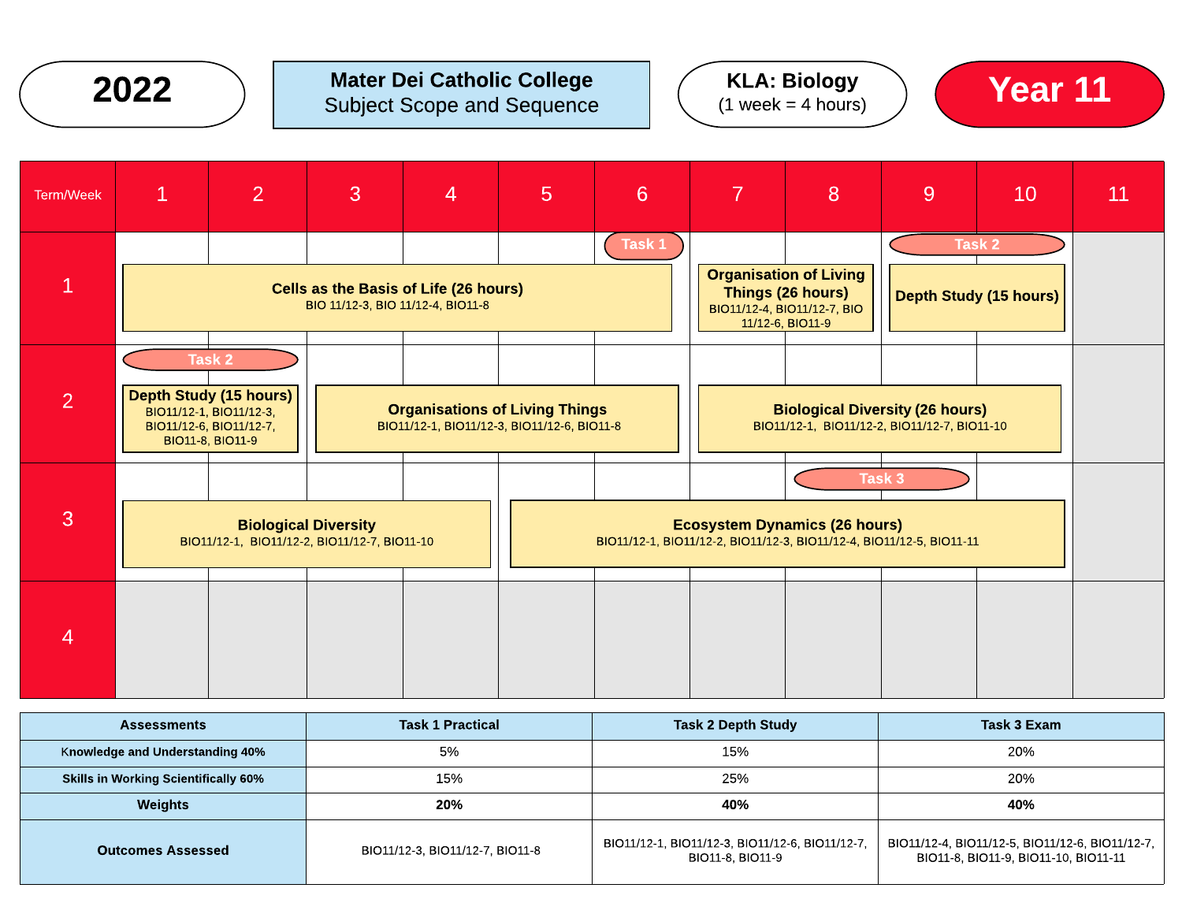

### $2022$  ) Mater Dei Catholic College  $(1 \text{ week} = 4 \text{ hours})$  (Year 11) Subject Scope and Sequence







| <b>Assessments</b>                          | <b>Task 1 Practical</b>         | <b>Task 2 Depth Study</b>                                           | Task 3 Exam                                                                             |  |
|---------------------------------------------|---------------------------------|---------------------------------------------------------------------|-----------------------------------------------------------------------------------------|--|
| <b>Knowledge and Understanding 40%</b>      | 5%                              | 15%                                                                 | 20%                                                                                     |  |
| <b>Skills in Working Scientifically 60%</b> | 15%                             | 25%                                                                 | 20%                                                                                     |  |
| Weights                                     | 20%                             | 40%                                                                 | 40%                                                                                     |  |
| <b>Outcomes Assessed</b>                    | BIO11/12-3, BIO11/12-7, BIO11-8 | BIO11/12-1, BIO11/12-3, BIO11/12-6, BIO11/12-7,<br>BIO11-8, BIO11-9 | BIO11/12-4, BIO11/12-5, BIO11/12-6, BIO11/12-7,<br>BIO11-8, BIO11-9, BIO11-10, BIO11-11 |  |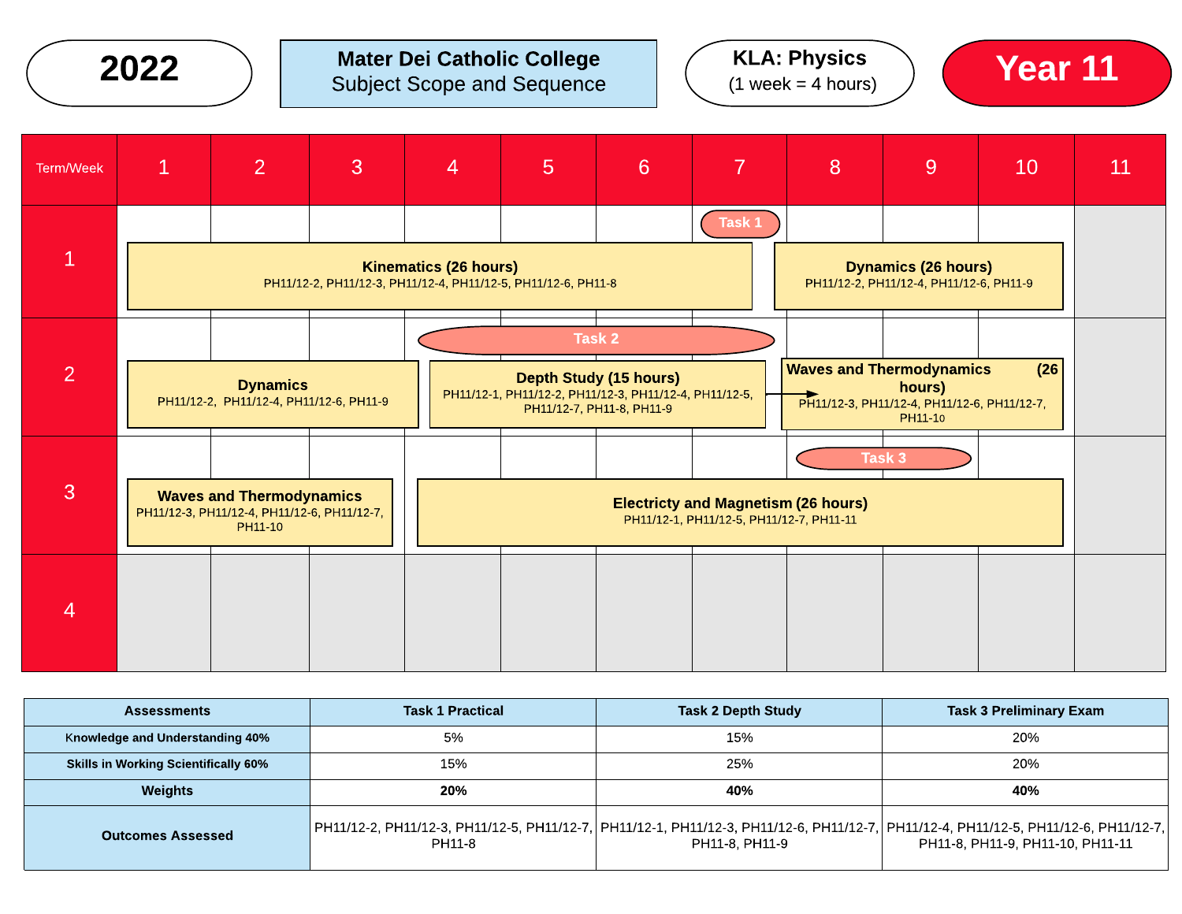

| <b>Assessments</b>                          | <b>Task 1 Practical</b>                                                                                                                        | <b>Task 2 Depth Study</b> | <b>Task 3 Preliminary Exam</b>   |  |
|---------------------------------------------|------------------------------------------------------------------------------------------------------------------------------------------------|---------------------------|----------------------------------|--|
| <b>Knowledge and Understanding 40%</b>      | 5%                                                                                                                                             | 15%                       | 20%                              |  |
| <b>Skills in Working Scientifically 60%</b> | 15%                                                                                                                                            | 25%                       | 20%                              |  |
| <b>Weights</b>                              | 20%                                                                                                                                            | 40%                       | 40%                              |  |
| <b>Outcomes Assessed</b>                    | PH11/12-2, PH11/12-3, PH11/12-5, PH11/12-7, PH11/12-1, PH11/12-3, PH11/12-6, PH11/12-7, PH11/12-4, PH11/12-5, PH11/12-6, PH11/12-7, <br>PH11-8 | PH11-8, PH11-9            | PH11-8, PH11-9, PH11-10, PH11-11 |  |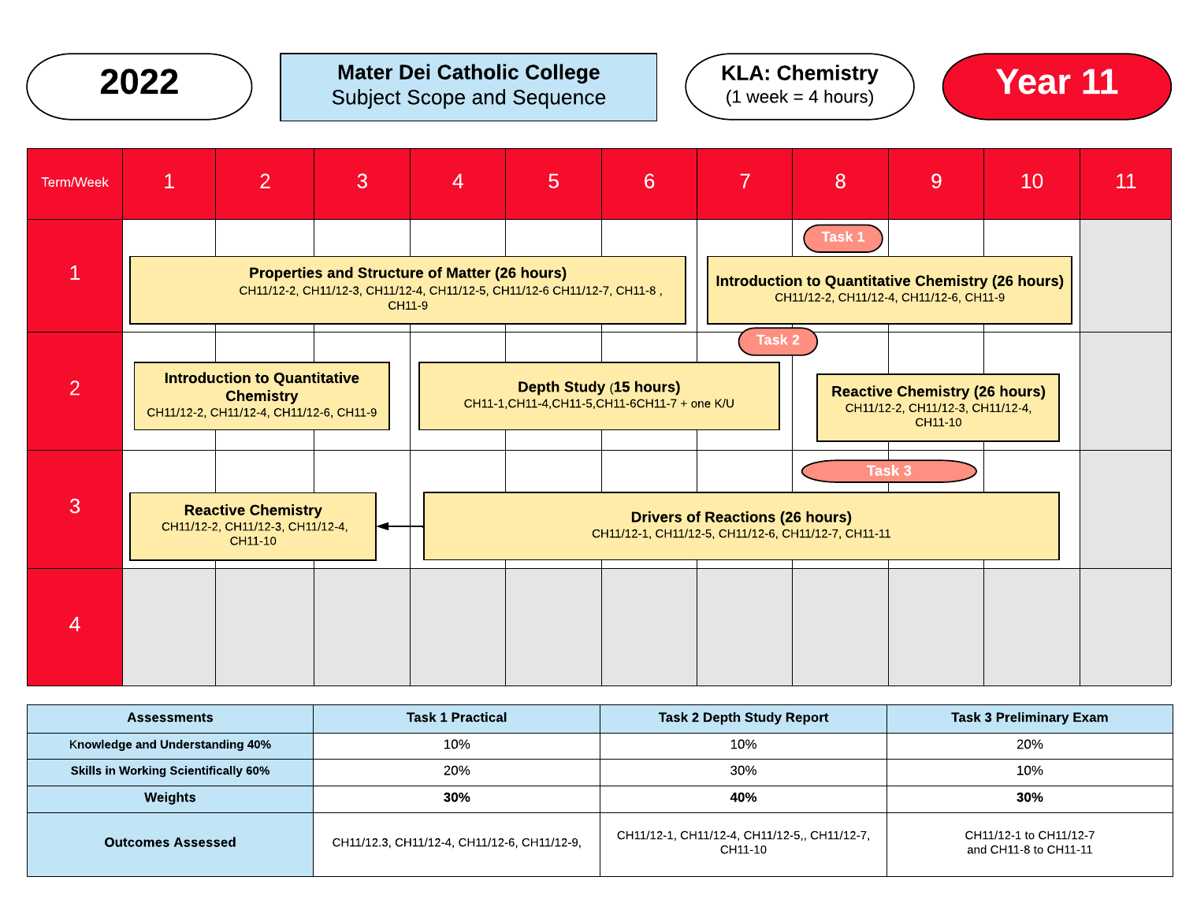

## $2022$  ) Mater Dei Catholic College  $(1 \text{ week} = 4 \text{ hours})$   $(1 \text{ week} = 4 \text{ hours})$  Year 11 Subject Scope and Sequence







| <b>Assessments</b>                          | <b>Task 1 Practical</b>                     | <b>Task 2 Depth Study Report</b>                        | <b>Task 3 Preliminary Exam</b>                  |  |
|---------------------------------------------|---------------------------------------------|---------------------------------------------------------|-------------------------------------------------|--|
| Knowledge and Understanding 40%             | 10%                                         | 10%                                                     | 20%                                             |  |
| <b>Skills in Working Scientifically 60%</b> | 20%                                         | 30%                                                     | 10%                                             |  |
| Weights                                     | 30%                                         | 40%                                                     | 30%                                             |  |
| <b>Outcomes Assessed</b>                    | CH11/12.3, CH11/12-4, CH11/12-6, CH11/12-9, | CH11/12-1, CH11/12-4, CH11/12-5,, CH11/12-7,<br>CH11-10 | CH11/12-1 to CH11/12-7<br>and CH11-8 to CH11-11 |  |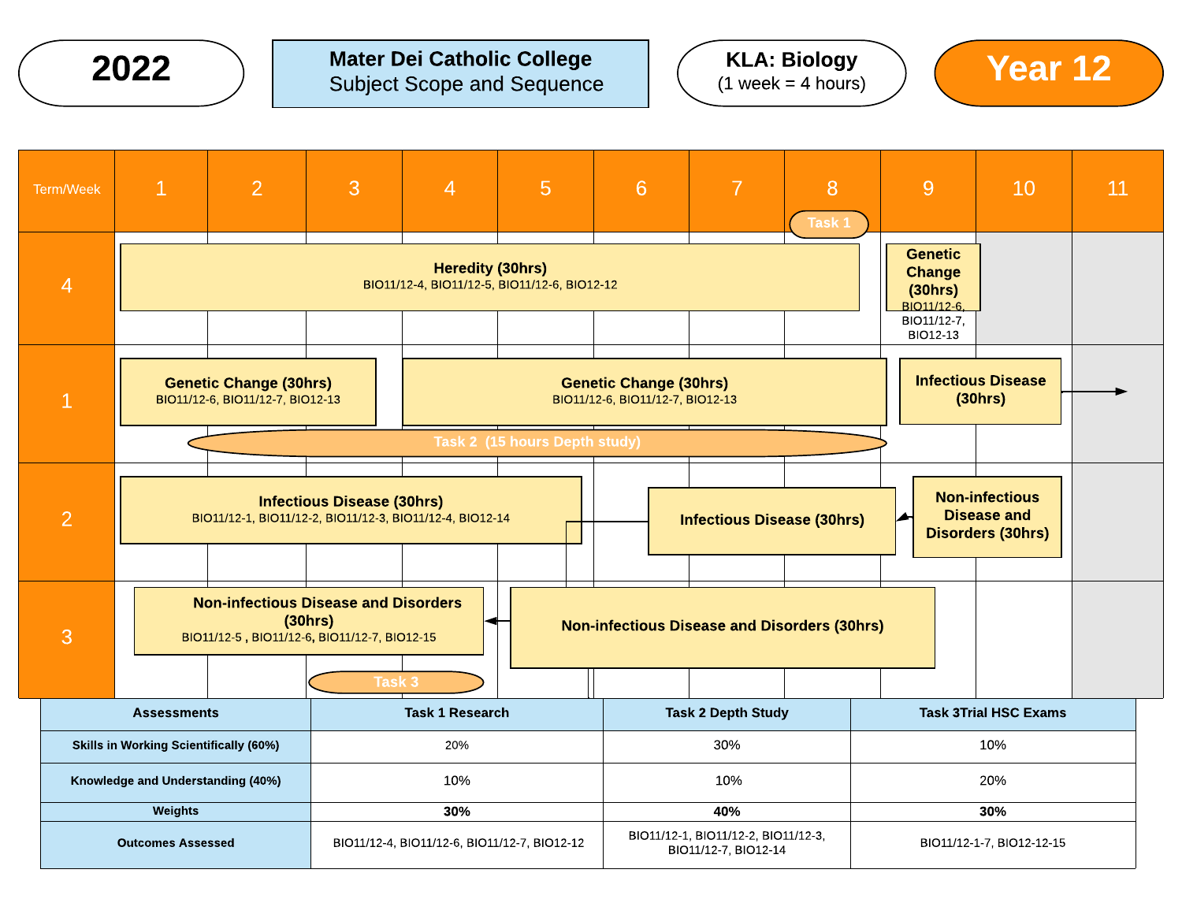**2022**  $\bigcirc$  Mater Dei Catholic College  $\bigcirc$  KLA: Biology  $\bigcirc$  Year 12





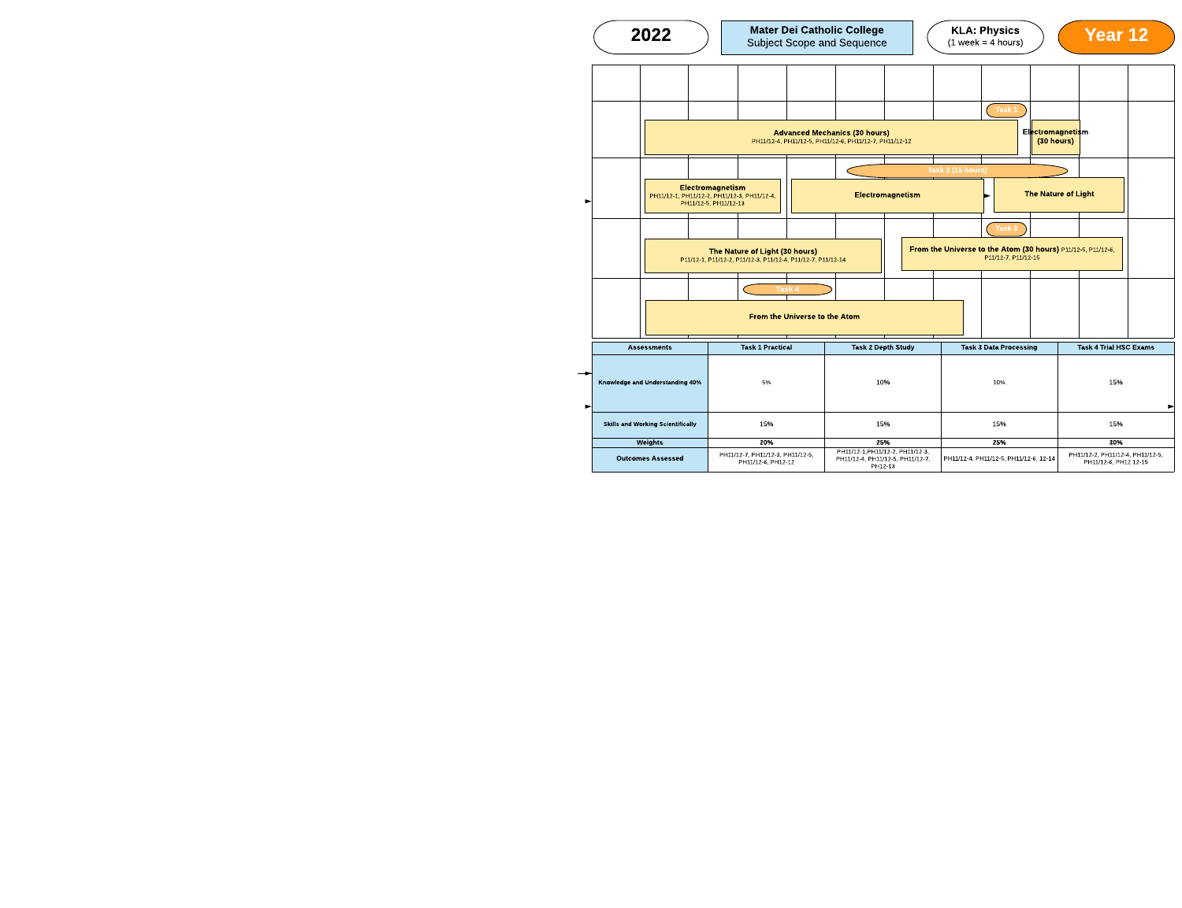| 2022                                                                                          |                                                                                          | <b>Mater Dei Catholic College</b><br><b>Subject Scope and Sequence</b>                         | <b>KLA: Physics</b><br>$(1 week = 4 hours)$                                         |                                | <b>Year 12</b>                                            |   |
|-----------------------------------------------------------------------------------------------|------------------------------------------------------------------------------------------|------------------------------------------------------------------------------------------------|-------------------------------------------------------------------------------------|--------------------------------|-----------------------------------------------------------|---|
|                                                                                               |                                                                                          |                                                                                                |                                                                                     |                                |                                                           |   |
|                                                                                               |                                                                                          |                                                                                                | Task 1                                                                              |                                |                                                           |   |
|                                                                                               |                                                                                          | <b>Advanced Mechanics (30 hours)</b><br>PH11/12-4, PH11/12-5, PH11/12-6, PH11/12-7, PH11/12-12 |                                                                                     | Electromagnetism<br>(30 hours) |                                                           |   |
|                                                                                               |                                                                                          |                                                                                                | Task 2 (15 hours)                                                                   |                                |                                                           |   |
|                                                                                               | Electromagnetism<br>PH11/12-1, PH11/12-2, PH11/12-3, PH11/12-4,<br>PH11/12-5, PH11/12-13 | Electromagnetism                                                                               |                                                                                     |                                | <b>The Nature of Light</b>                                |   |
|                                                                                               |                                                                                          |                                                                                                | Task 3                                                                              |                                |                                                           |   |
| The Nature of Light (30 hours)<br>P11/12-1, P11/12-2, P11/12-3, P11/12-4, P11/12-7, P11/12-14 |                                                                                          |                                                                                                | From the Universe to the Atom (30 hours) P11/12-5, P11/12-6,<br>P11/12-7, P11/12-15 |                                |                                                           |   |
|                                                                                               | Task 4                                                                                   |                                                                                                |                                                                                     |                                |                                                           |   |
|                                                                                               | <b>From the Universe to the Atom</b>                                                     |                                                                                                |                                                                                     |                                |                                                           |   |
| <b>Assessments</b>                                                                            | <b>Task 1 Practical</b>                                                                  | <b>Task 2 Depth Study</b>                                                                      | <b>Task 3 Data Processing</b>                                                       |                                | <b>Task 4 Trial HSC Exams</b>                             |   |
| <b>Knowledge and Understanding 40%</b>                                                        | 5%                                                                                       | 10%                                                                                            | 10%                                                                                 |                                | 15%                                                       | ► |
| <b>Skills and Working Scientifically</b>                                                      | 15%<br>15%<br>15%                                                                        |                                                                                                | 15%                                                                                 |                                |                                                           |   |
| Weights                                                                                       | 20%                                                                                      | 25%                                                                                            | 25%                                                                                 |                                | 30%                                                       |   |
| <b>Outcomes Assessed</b>                                                                      | PH11/12-7, PH11/12-3, PH11/12-5,<br>PH11/12-6, PH12-12                                   | PH11/12-1, PH11/12-2, PH11/12-3,<br>PH11/12-4, PH11/12-5, PH11/12-7,<br>PH12-13                | PH11/12-4, PH11/12-5, PH11/12-6, 12-14                                              |                                | PH11/12-2, PH11/12-4, PH11/12-5,<br>PH11/12-6, PH12 12-15 |   |



PH11/12-4, PH11/12-5, PH11/12-7, PH12-13